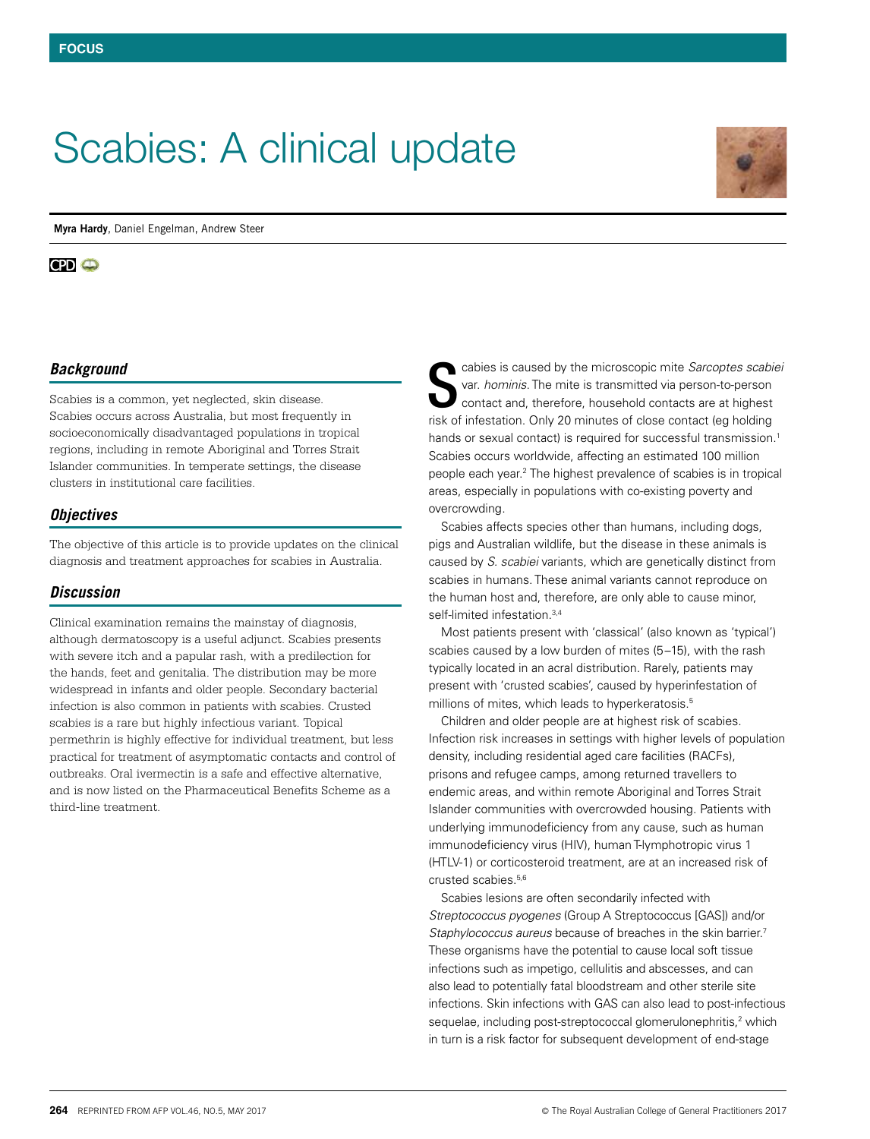# Scabies: A clinical update

**Myra Hardy**, Daniel Engelman, Andrew Steer

#### $CD<sub>o</sub>$

## *Background*

Scabies is a common, yet neglected, skin disease. Scabies occurs across Australia, but most frequently in socioeconomically disadvantaged populations in tropical regions, including in remote Aboriginal and Torres Strait Islander communities. In temperate settings, the disease clusters in institutional care facilities.

#### *Objectives*

The objective of this article is to provide updates on the clinical diagnosis and treatment approaches for scabies in Australia.

#### *Discussion*

Clinical examination remains the mainstay of diagnosis, although dermatoscopy is a useful adjunct. Scabies presents with severe itch and a papular rash, with a predilection for the hands, feet and genitalia. The distribution may be more widespread in infants and older people. Secondary bacterial infection is also common in patients with scabies. Crusted scabies is a rare but highly infectious variant. Topical permethrin is highly effective for individual treatment, but less practical for treatment of asymptomatic contacts and control of outbreaks. Oral ivermectin is a safe and effective alternative, and is now listed on the Pharmaceutical Benefits Scheme as a third-line treatment.

cabies is caused by the microscopic mite *Sarcoptes scabiei* var. *hominis*. The mite is transmitted via person-to-person contact and, therefore, household contacts are at highest risk of infestation. Only 20 minutes of close contact (eg holding hands or sexual contact) is required for successful transmission.<sup>1</sup> Scabies occurs worldwide, affecting an estimated 100 million people each year.2 The highest prevalence of scabies is in tropical areas, especially in populations with co-existing poverty and overcrowding. S

Scabies affects species other than humans, including dogs, pigs and Australian wildlife, but the disease in these animals is caused by *S. scabiei* variants, which are genetically distinct from scabies in humans. These animal variants cannot reproduce on the human host and, therefore, are only able to cause minor, self-limited infestation.3,4

Most patients present with 'classical' (also known as 'typical') scabies caused by a low burden of mites (5–15), with the rash typically located in an acral distribution. Rarely, patients may present with 'crusted scabies', caused by hyperinfestation of millions of mites, which leads to hyperkeratosis.<sup>5</sup>

Children and older people are at highest risk of scabies. Infection risk increases in settings with higher levels of population density, including residential aged care facilities (RACFs), prisons and refugee camps, among returned travellers to endemic areas, and within remote Aboriginal and Torres Strait Islander communities with overcrowded housing. Patients with underlying immunodeficiency from any cause, such as human immunodeficiency virus (HIV), human T-lymphotropic virus 1 (HTLV-1) or corticosteroid treatment, are at an increased risk of crusted scabies.<sup>5,6</sup>

Scabies lesions are often secondarily infected with *Streptococcus pyogenes* (Group A Streptococcus [GAS]) and/or *Staphylococcus aureus* because of breaches in the skin barrier.7 These organisms have the potential to cause local soft tissue infections such as impetigo, cellulitis and abscesses, and can also lead to potentially fatal bloodstream and other sterile site infections. Skin infections with GAS can also lead to post-infectious sequelae, including post-streptococcal glomerulonephritis,<sup>2</sup> which in turn is a risk factor for subsequent development of end-stage

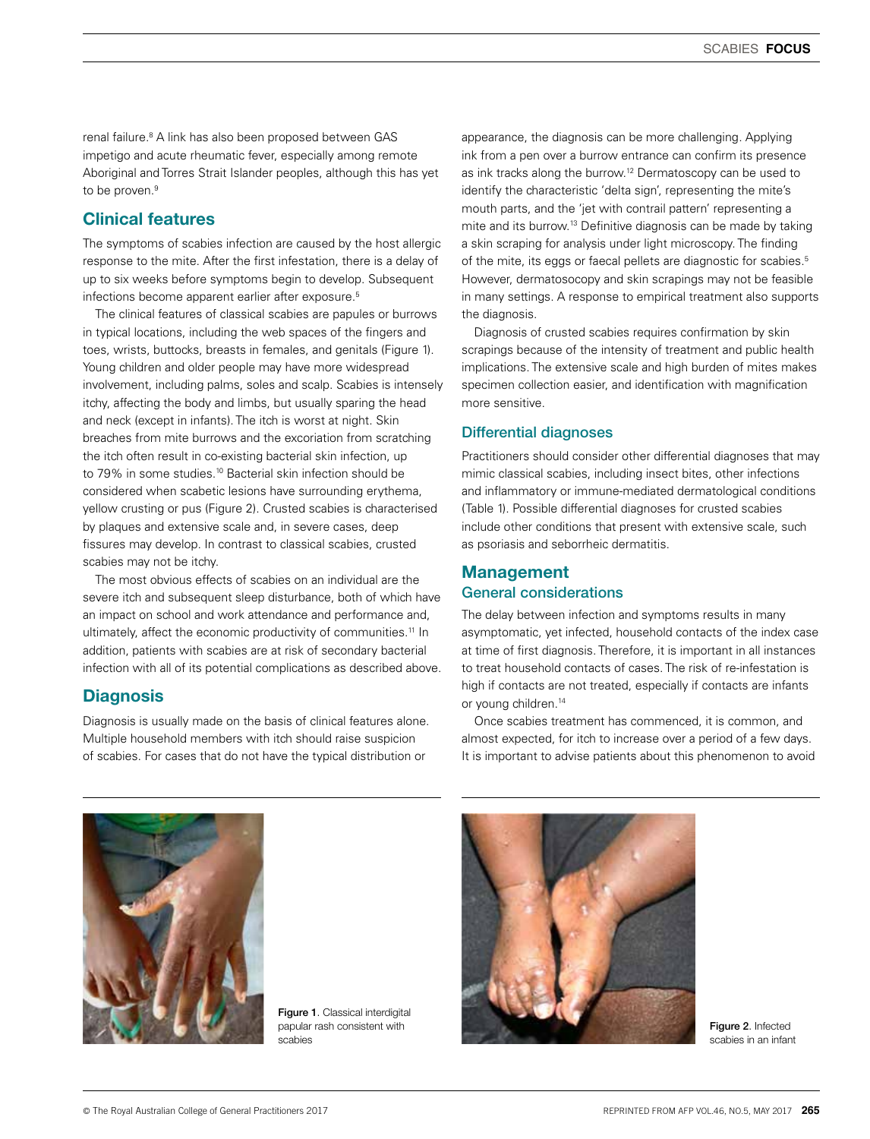renal failure.8 A link has also been proposed between GAS impetigo and acute rheumatic fever, especially among remote Aboriginal and Torres Strait Islander peoples, although this has yet to be proven.<sup>9</sup>

## Clinical features

The symptoms of scabies infection are caused by the host allergic response to the mite. After the first infestation, there is a delay of up to six weeks before symptoms begin to develop. Subsequent infections become apparent earlier after exposure.<sup>5</sup>

The clinical features of classical scabies are papules or burrows in typical locations, including the web spaces of the fingers and toes, wrists, buttocks, breasts in females, and genitals (Figure 1). Young children and older people may have more widespread involvement, including palms, soles and scalp. Scabies is intensely itchy, affecting the body and limbs, but usually sparing the head and neck (except in infants). The itch is worst at night. Skin breaches from mite burrows and the excoriation from scratching the itch often result in co-existing bacterial skin infection, up to 79% in some studies.10 Bacterial skin infection should be considered when scabetic lesions have surrounding erythema, yellow crusting or pus (Figure 2). Crusted scabies is characterised by plaques and extensive scale and, in severe cases, deep fissures may develop. In contrast to classical scabies, crusted scabies may not be itchy.

The most obvious effects of scabies on an individual are the severe itch and subsequent sleep disturbance, both of which have an impact on school and work attendance and performance and, ultimately, affect the economic productivity of communities.<sup>11</sup> In addition, patients with scabies are at risk of secondary bacterial infection with all of its potential complications as described above.

## **Diagnosis**

Diagnosis is usually made on the basis of clinical features alone. Multiple household members with itch should raise suspicion of scabies. For cases that do not have the typical distribution or

appearance, the diagnosis can be more challenging. Applying ink from a pen over a burrow entrance can confirm its presence as ink tracks along the burrow.<sup>12</sup> Dermatoscopy can be used to identify the characteristic 'delta sign', representing the mite's mouth parts, and the 'jet with contrail pattern' representing a mite and its burrow.13 Definitive diagnosis can be made by taking a skin scraping for analysis under light microscopy. The finding of the mite, its eggs or faecal pellets are diagnostic for scabies.<sup>5</sup> However, dermatosocopy and skin scrapings may not be feasible in many settings. A response to empirical treatment also supports the diagnosis.

Diagnosis of crusted scabies requires confirmation by skin scrapings because of the intensity of treatment and public health implications. The extensive scale and high burden of mites makes specimen collection easier, and identification with magnification more sensitive.

## Differential diagnoses

Practitioners should consider other differential diagnoses that may mimic classical scabies, including insect bites, other infections and inflammatory or immune-mediated dermatological conditions (Table 1). Possible differential diagnoses for crusted scabies include other conditions that present with extensive scale, such as psoriasis and seborrheic dermatitis.

## Management General considerations

The delay between infection and symptoms results in many asymptomatic, yet infected, household contacts of the index case at time of first diagnosis. Therefore, it is important in all instances to treat household contacts of cases. The risk of re-infestation is high if contacts are not treated, especially if contacts are infants or young children.<sup>14</sup>

Once scabies treatment has commenced, it is common, and almost expected, for itch to increase over a period of a few days. It is important to advise patients about this phenomenon to avoid



Figure 1. Classical interdigital papular rash consistent with scabies



Figure 2. Infected scabies in an infant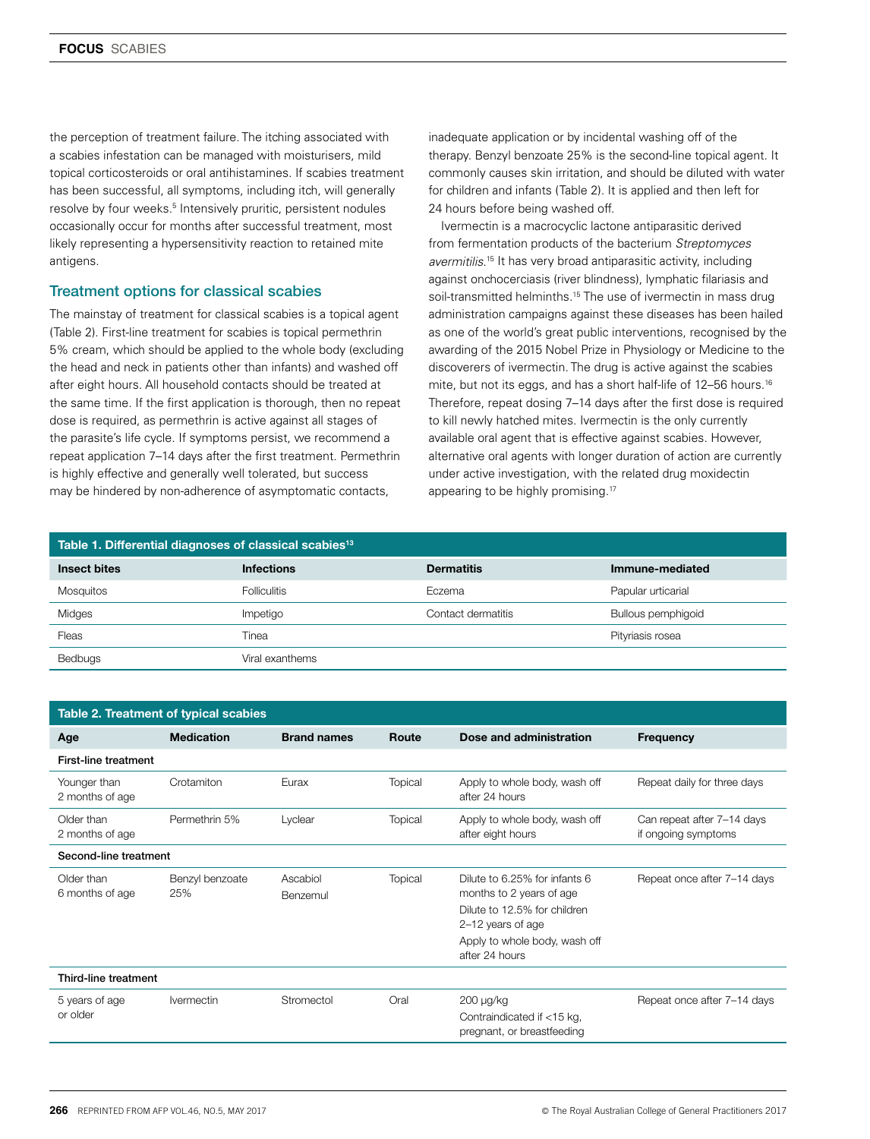the perception of treatment failure. The itching associated with a scabies infestation can be managed with moisturisers, mild topical corticosteroids or oral antihistamines. If scabies treatment has been successful, all symptoms, including itch, will generally resolve by four weeks.<sup>5</sup> Intensively pruritic, persistent nodules occasionally occur for months after successful treatment, most likely representing a hypersensitivity reaction to retained mite antigens.

#### Treatment options for classical scabies

The mainstay of treatment for classical scabies is a topical agent (Table 2). First-line treatment for scabies is topical permethrin 5% cream, which should be applied to the whole body (excluding the head and neck in patients other than infants) and washed off after eight hours. All household contacts should be treated at the same time. If the first application is thorough, then no repeat dose is required, as permethrin is active against all stages of the parasite's life cycle. If symptoms persist, we recommend a repeat application 7–14 days after the first treatment. Permethrin is highly effective and generally well tolerated, but success may be hindered by non-adherence of asymptomatic contacts,

inadequate application or by incidental washing off of the therapy. Benzyl benzoate 25% is the second-line topical agent. It commonly causes skin irritation, and should be diluted with water for children and infants (Table 2). It is applied and then left for 24 hours before being washed off.

Ivermectin is a macrocyclic lactone antiparasitic derived from fermentation products of the bacterium *Streptomyces avermitilis*. 15 It has very broad antiparasitic activity, including against onchocerciasis (river blindness), lymphatic filariasis and soil-transmitted helminths.<sup>15</sup> The use of ivermectin in mass drug administration campaigns against these diseases has been hailed as one of the world's great public interventions, recognised by the awarding of the 2015 Nobel Prize in Physiology or Medicine to the discoverers of ivermectin. The drug is active against the scabies mite, but not its eggs, and has a short half-life of 12-56 hours.<sup>16</sup> Therefore, repeat dosing 7–14 days after the first dose is required to kill newly hatched mites. Ivermectin is the only currently available oral agent that is effective against scabies. However, alternative oral agents with longer duration of action are currently under active investigation, with the related drug moxidectin appearing to be highly promising.<sup>17</sup>

| Table 1. Differential diagnoses of classical scabies <sup>13</sup> |                     |                    |                    |  |  |  |
|--------------------------------------------------------------------|---------------------|--------------------|--------------------|--|--|--|
| <b>Insect bites</b>                                                | <b>Infections</b>   | <b>Dermatitis</b>  | Immune-mediated    |  |  |  |
| <b>Mosquitos</b>                                                   | <b>Folliculitis</b> | Eczema             | Papular urticarial |  |  |  |
| Midges                                                             | Impetigo            | Contact dermatitis | Bullous pemphigoid |  |  |  |
| Fleas                                                              | Tinea               |                    | Pityriasis rosea   |  |  |  |
| <b>Bedbugs</b>                                                     | Viral exanthems     |                    |                    |  |  |  |

| Table 2. Treatment of typical scabies |                        |                      |                |                                                                                                                                                                   |                                                   |  |  |
|---------------------------------------|------------------------|----------------------|----------------|-------------------------------------------------------------------------------------------------------------------------------------------------------------------|---------------------------------------------------|--|--|
| Age                                   | <b>Medication</b>      | <b>Brand names</b>   | Route          | Dose and administration                                                                                                                                           | Frequency                                         |  |  |
| First-line treatment                  |                        |                      |                |                                                                                                                                                                   |                                                   |  |  |
| Younger than<br>2 months of age       | Crotamiton             | Eurax                | <b>Topical</b> | Apply to whole body, wash off<br>after 24 hours                                                                                                                   | Repeat daily for three days                       |  |  |
| Older than<br>2 months of age         | Permethrin 5%          | Lyclear              | <b>Topical</b> | Apply to whole body, wash off<br>after eight hours                                                                                                                | Can repeat after 7-14 days<br>if ongoing symptoms |  |  |
| Second-line treatment                 |                        |                      |                |                                                                                                                                                                   |                                                   |  |  |
| Older than<br>6 months of age         | Benzyl benzoate<br>25% | Ascabiol<br>Benzemul | <b>Topical</b> | Dilute to 6.25% for infants 6<br>months to 2 years of age<br>Dilute to 12.5% for children<br>2-12 years of age<br>Apply to whole body, wash off<br>after 24 hours | Repeat once after 7-14 days                       |  |  |
| Third-line treatment                  |                        |                      |                |                                                                                                                                                                   |                                                   |  |  |
| 5 years of age<br>or older            | <b>Ivermectin</b>      | Stromectol           | Oral           | $200 \mu g/kg$<br>Contraindicated if <15 kg,<br>pregnant, or breastfeeding                                                                                        | Repeat once after 7-14 days                       |  |  |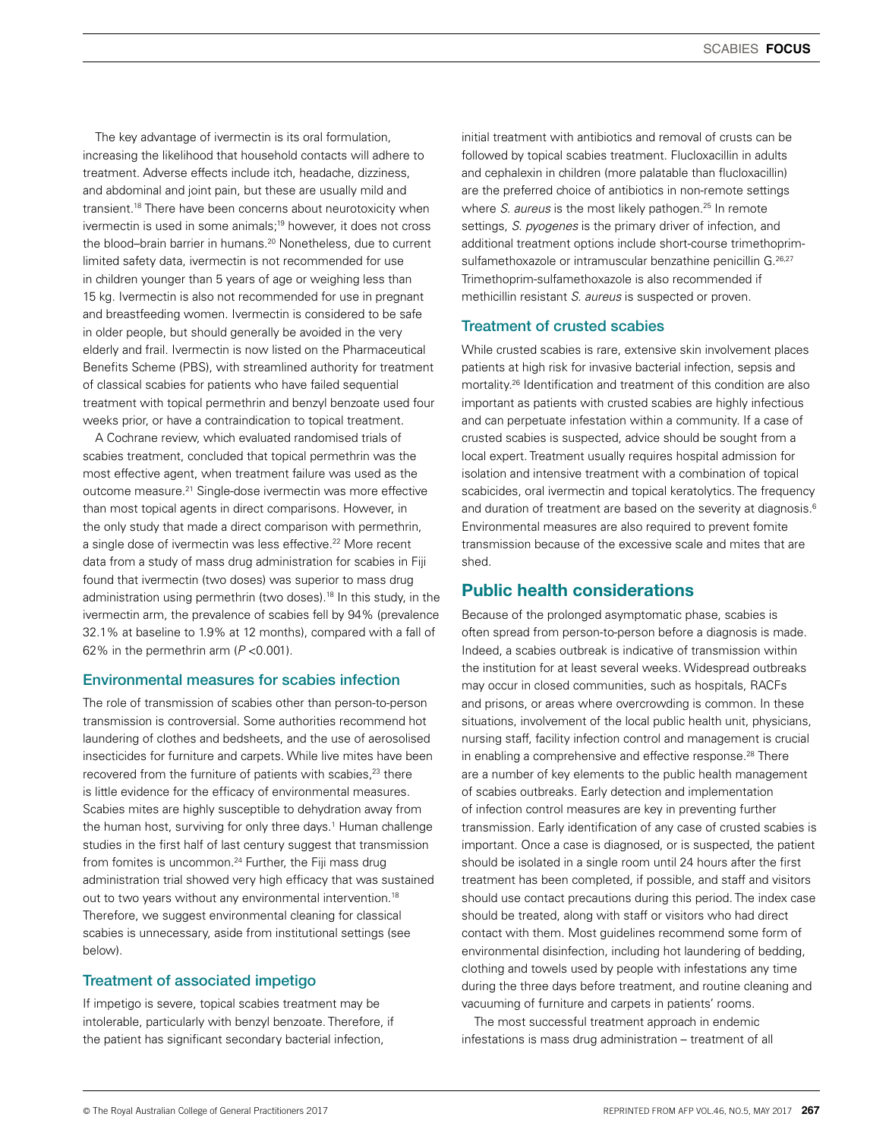The key advantage of ivermectin is its oral formulation, increasing the likelihood that household contacts will adhere to treatment. Adverse effects include itch, headache, dizziness, and abdominal and joint pain, but these are usually mild and transient.18 There have been concerns about neurotoxicity when ivermectin is used in some animals;19 however, it does not cross the blood–brain barrier in humans.<sup>20</sup> Nonetheless, due to current limited safety data, ivermectin is not recommended for use in children younger than 5 years of age or weighing less than 15 kg. Ivermectin is also not recommended for use in pregnant and breastfeeding women. Ivermectin is considered to be safe in older people, but should generally be avoided in the very elderly and frail. Ivermectin is now listed on the Pharmaceutical Benefits Scheme (PBS), with streamlined authority for treatment of classical scabies for patients who have failed sequential treatment with topical permethrin and benzyl benzoate used four weeks prior, or have a contraindication to topical treatment.

A Cochrane review, which evaluated randomised trials of scabies treatment, concluded that topical permethrin was the most effective agent, when treatment failure was used as the outcome measure.21 Single-dose ivermectin was more effective than most topical agents in direct comparisons. However, in the only study that made a direct comparison with permethrin, a single dose of ivermectin was less effective.<sup>22</sup> More recent data from a study of mass drug administration for scabies in Fiji found that ivermectin (two doses) was superior to mass drug administration using permethrin (two doses).<sup>18</sup> In this study, in the ivermectin arm, the prevalence of scabies fell by 94% (prevalence 32.1% at baseline to 1.9% at 12 months), compared with a fall of 62% in the permethrin arm (*P* <0.001).

#### Environmental measures for scabies infection

The role of transmission of scabies other than person-to-person transmission is controversial. Some authorities recommend hot laundering of clothes and bedsheets, and the use of aerosolised insecticides for furniture and carpets. While live mites have been recovered from the furniture of patients with scabies,<sup>23</sup> there is little evidence for the efficacy of environmental measures. Scabies mites are highly susceptible to dehydration away from the human host, surviving for only three days.<sup>1</sup> Human challenge studies in the first half of last century suggest that transmission from fomites is uncommon.<sup>24</sup> Further, the Fiji mass drug administration trial showed very high efficacy that was sustained out to two years without any environmental intervention.<sup>18</sup> Therefore, we suggest environmental cleaning for classical scabies is unnecessary, aside from institutional settings (see below).

## Treatment of associated impetigo

If impetigo is severe, topical scabies treatment may be intolerable, particularly with benzyl benzoate. Therefore, if the patient has significant secondary bacterial infection,

initial treatment with antibiotics and removal of crusts can be followed by topical scabies treatment. Flucloxacillin in adults and cephalexin in children (more palatable than flucloxacillin) are the preferred choice of antibiotics in non-remote settings where *S. aureus* is the most likely pathogen.<sup>25</sup> In remote settings, *S. pyogenes* is the primary driver of infection, and additional treatment options include short-course trimethoprimsulfamethoxazole or intramuscular benzathine penicillin G.<sup>26,27</sup> Trimethoprim-sulfamethoxazole is also recommended if methicillin resistant *S. aureus* is suspected or proven.

## Treatment of crusted scabies

While crusted scabies is rare, extensive skin involvement places patients at high risk for invasive bacterial infection, sepsis and mortality.26 Identification and treatment of this condition are also important as patients with crusted scabies are highly infectious and can perpetuate infestation within a community. If a case of crusted scabies is suspected, advice should be sought from a local expert. Treatment usually requires hospital admission for isolation and intensive treatment with a combination of topical scabicides, oral ivermectin and topical keratolytics. The frequency and duration of treatment are based on the severity at diagnosis.<sup>6</sup> Environmental measures are also required to prevent fomite transmission because of the excessive scale and mites that are shed.

# Public health considerations

Because of the prolonged asymptomatic phase, scabies is often spread from person-to-person before a diagnosis is made. Indeed, a scabies outbreak is indicative of transmission within the institution for at least several weeks. Widespread outbreaks may occur in closed communities, such as hospitals, RACFs and prisons, or areas where overcrowding is common. In these situations, involvement of the local public health unit, physicians, nursing staff, facility infection control and management is crucial in enabling a comprehensive and effective response.<sup>28</sup> There are a number of key elements to the public health management of scabies outbreaks. Early detection and implementation of infection control measures are key in preventing further transmission. Early identification of any case of crusted scabies is important. Once a case is diagnosed, or is suspected, the patient should be isolated in a single room until 24 hours after the first treatment has been completed, if possible, and staff and visitors should use contact precautions during this period. The index case should be treated, along with staff or visitors who had direct contact with them. Most guidelines recommend some form of environmental disinfection, including hot laundering of bedding, clothing and towels used by people with infestations any time during the three days before treatment, and routine cleaning and vacuuming of furniture and carpets in patients' rooms.

The most successful treatment approach in endemic infestations is mass drug administration – treatment of all